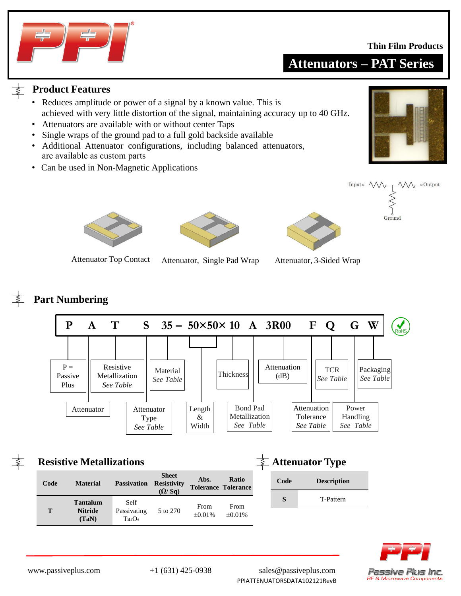### **Thin Film Products**



## **Attenuators – PAT Series**

Input o W

Ground

## **Product Features**

- Reduces amplitude or power of a signal by a known value. This is achieved with very little distortion of the signal, maintaining accuracy up to 40 GHz.
- Attenuators are available with or without center Taps
- Single wraps of the ground pad to a full gold backside available
- are available as custom parts • Additional Attenuator configurations, including balanced attenuators,
- Can be used in Non-Magnetic Applications



M-oOutput







Attenuator Top Contact Attenuator, Single Pad Wrap Attenuator, 3-Sided Wrap

## **Part Numbering**



|      | <b>Resistive Metallizations</b> |                          |                                              |              |                                            |      | <b>Attenuator Type</b> |
|------|---------------------------------|--------------------------|----------------------------------------------|--------------|--------------------------------------------|------|------------------------|
| Code | <b>Material</b>                 | <b>Passivation</b>       | <b>Sheet</b><br><b>Resistivity</b><br>(Q/Sq) | Abs.         | <b>Ratio</b><br><b>Tolerance Tolerance</b> | Code | <b>Description</b>     |
|      | <b>Tantalum</b>                 | Self                     |                                              | From         | From                                       | S    | T-Pattern              |
| T    | <b>Nitride</b><br>(TaN)         | Passivating<br>$Ta_2O_5$ | 5 to 270                                     | $\pm 0.01\%$ | $\pm 0.01\%$                               |      |                        |



www.passiveplus.com +1 (631) 425-0938 sales@passiveplus.com PPIATTENUATORSDATA102121RevB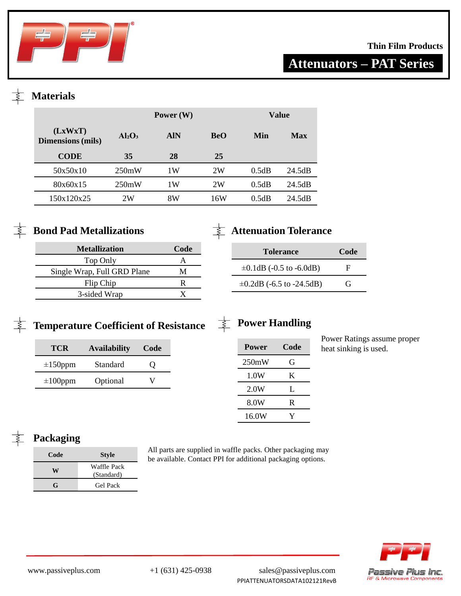

## **Thin Film Products**

# **Attenuators – PAT Series**

## **Materials**

|                                     | Power $(W)$ |            |            |       | Value      |
|-------------------------------------|-------------|------------|------------|-------|------------|
| (LxWxT)<br><b>Dimensions</b> (mils) | $Al_2O_3$   | <b>AIN</b> | <b>BeO</b> | Min   | <b>Max</b> |
| <b>CODE</b>                         | 35          | 28         | 25         |       |            |
| 50x50x10                            | 250mW       | 1 W        | 2W         | 0.5dB | 24.5dB     |
| 80x60x15                            | 250mW       | 1 W        | 2W         | 0.5dB | 24.5dB     |
| 150x120x25                          | 2W          | 8W         | 16W        | 0.5dB | 24.5dB     |
|                                     |             |            |            |       |            |



| <b>Metallization</b>        | Code |
|-----------------------------|------|
| Top Only                    |      |
| Single Wrap, Full GRD Plane | М    |
| Flip Chip                   | R    |
| 3-sided Wrap                |      |

## **Attenuation Tolerance**

| <b>Tolerance</b>               | Code |
|--------------------------------|------|
| $\pm 0.1$ dB (-0.5 to -6.0dB)  | F    |
| $\pm 0.2$ dB (-6.5 to -24.5dB) | G    |

# Temperature Coefficient of Resistance  $\frac{1}{\frac{1}{2}}$  Power Handling

| TCR           | <b>Availability</b> | Code              |
|---------------|---------------------|-------------------|
| $\pm 150$ ppm | Standard            | $\mathbf{\Omega}$ |
| $\pm 100$ ppm | Optional            | V                 |

| Power | Code |
|-------|------|
| 250mW | G    |
| 1.0W  | K    |
| 2.0W  | L    |
| 8.0W  | R    |
| 16.0W |      |

Power Ratings assume proper heat sinking is used.

## **Packaging**

| Code | <b>Style</b>              |
|------|---------------------------|
| W    | Waffle Pack<br>(Standard) |
| G    | <b>Gel Pack</b>           |

All parts are supplied in waffle packs. Other packaging may be available. Contact PPI for additional packaging options.



www.passiveplus.com +1 (631) 425-0938 sales@passiveplus.com PPIATTENUATORSDATA102121RevB